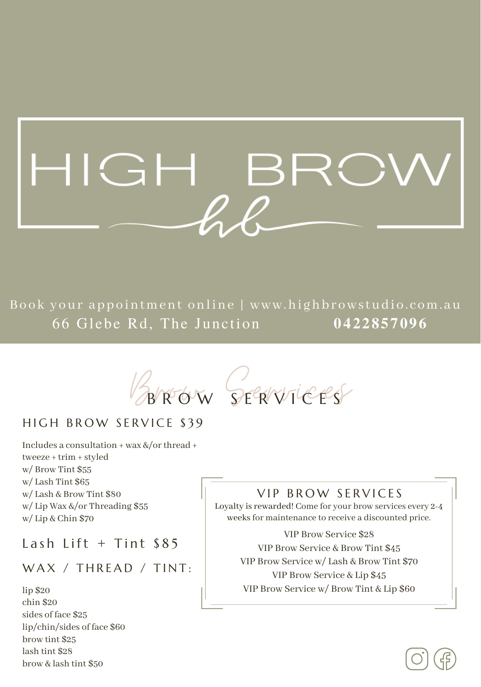# HIGH BR

Book your appointment online | www.highbrowstudio.com.au 66 Gl ebe Rd, The Junc tion **0422857096**

 $\frac{1}{2}$  $\mathsf{B}'$ R  $R<sup>c</sup>$ o  $\odot$ w W  $G_{\mathsf{S}}$ S E e  $\mathsf{R}^{\prime}$ r  $\bigvee$  $v_{\mathsf{T}}$ I i<sub>C</sub> C e

# HIGH BROW SERVICE \$39

Includes a consultation + wax &/orthread + tweeze + trim + styled w/ Brow Tint \$55 w/ Lash Tint \$65 w/ Lash & Brow Tint \$80 w/ Lip Wax &/or Threading \$55 w/ Lip & Chin \$70

# Lash Lift + Tint  $$85$

## $WAX / THREAD / TINT$ :

lip \$20 chin \$20 sides of face \$25 lip/chin/sides of face \$60 brow tint \$25 lash tint \$28 brow & lash tint \$50

# VIP BROW SERVICES

E e S s

Loyalty is rewarded! Come for your brow services every 2-4 weeks for maintenance to receive a discounted price.

VIP Brow Service \$28 VIP Brow Service & Brow Tint \$45 VIP Brow Service w/ Lash & Brow Tint \$70 VIP Brow Service & Lip \$45 VIP Brow Service w/ Brow Tint & Lip \$60